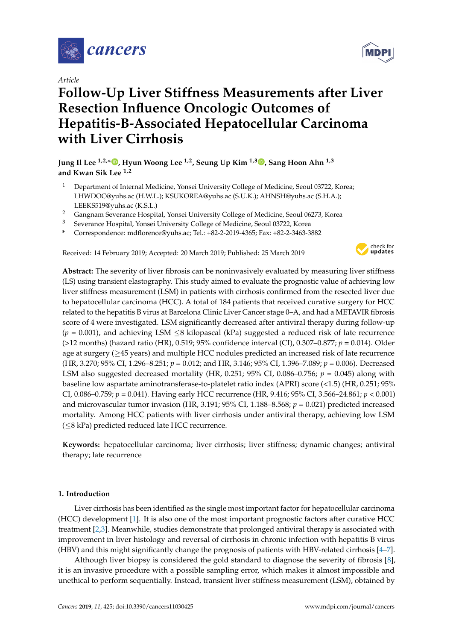

*Article*

# **Follow-Up Liver Stiffness Measurements after Liver Resection Influence Oncologic Outcomes of Hepatitis-B-Associated Hepatocellular Carcinoma with Liver Cirrhosis**

**Jung Il Lee 1,2,[\\*](https://orcid.org/0000-0002-0142-1398) , Hyun Woong Lee 1,2, Seung Up Kim 1,3 [,](https://orcid.org/0000-0002-9658-8050) Sang Hoon Ahn 1,3 and Kwan Sik Lee 1,2**

- <sup>1</sup> Department of Internal Medicine, Yonsei University College of Medicine, Seoul 03722, Korea; LHWDOC@yuhs.ac (H.W.L.); KSUKOREA@yuhs.ac (S.U.K.); AHNSH@yuhs.ac (S.H.A.); LEEKS519@yuhs.ac (K.S.L.)
- <sup>2</sup> Gangnam Severance Hospital, Yonsei University College of Medicine, Seoul 06273, Korea
- <sup>3</sup> Severance Hospital, Yonsei University College of Medicine, Seoul 03722, Korea
- **\*** Correspondence: mdflorence@yuhs.ac; Tel.: +82-2-2019-4365; Fax: +82-2-3463-3882

Received: 14 February 2019; Accepted: 20 March 2019; Published: 25 March 2019



**Abstract:** The severity of liver fibrosis can be noninvasively evaluated by measuring liver stiffness (LS) using transient elastography. This study aimed to evaluate the prognostic value of achieving low liver stiffness measurement (LSM) in patients with cirrhosis confirmed from the resected liver due to hepatocellular carcinoma (HCC). A total of 184 patients that received curative surgery for HCC related to the hepatitis B virus at Barcelona Clinic Liver Cancer stage 0–A, and had a METAVIR fibrosis score of 4 were investigated. LSM significantly decreased after antiviral therapy during follow-up (*p* = 0.001), and achieving LSM ≤8 kilopascal (kPa) suggested a reduced risk of late recurrence (>12 months) (hazard ratio (HR), 0.519; 95% confidence interval (CI), 0.307–0.877; *p* = 0.014). Older age at surgery (≥45 years) and multiple HCC nodules predicted an increased risk of late recurrence (HR, 3.270; 95% CI, 1.296–8.251; *p* = 0.012; and HR, 3.146; 95% CI, 1.396–7.089; *p* = 0.006). Decreased LSM also suggested decreased mortality (HR, 0.251; 95% CI, 0.086–0.756; *p* = 0.045) along with baseline low aspartate aminotransferase-to-platelet ratio index (APRI) score (<1.5) (HR, 0.251; 95% CI, 0.086–0.759; *p* = 0.041). Having early HCC recurrence (HR, 9.416; 95% CI, 3.566–24.861; *p* < 0.001) and microvascular tumor invasion (HR, 3.191; 95% CI, 1.188–8.568; *p* = 0.021) predicted increased mortality. Among HCC patients with liver cirrhosis under antiviral therapy, achieving low LSM (≤8 kPa) predicted reduced late HCC recurrence.

**Keywords:** hepatocellular carcinoma; liver cirrhosis; liver stiffness; dynamic changes; antiviral therapy; late recurrence

# **1. Introduction**

Liver cirrhosis has been identified as the single most important factor for hepatocellular carcinoma (HCC) development [\[1\]](#page-11-0). It is also one of the most important prognostic factors after curative HCC treatment [\[2](#page-11-1)[,3\]](#page-11-2). Meanwhile, studies demonstrate that prolonged antiviral therapy is associated with improvement in liver histology and reversal of cirrhosis in chronic infection with hepatitis B virus (HBV) and this might significantly change the prognosis of patients with HBV-related cirrhosis [\[4–](#page-11-3)[7\]](#page-12-0).

Although liver biopsy is considered the gold standard to diagnose the severity of fibrosis [\[8\]](#page-12-1), it is an invasive procedure with a possible sampling error, which makes it almost impossible and unethical to perform sequentially. Instead, transient liver stiffness measurement (LSM), obtained by

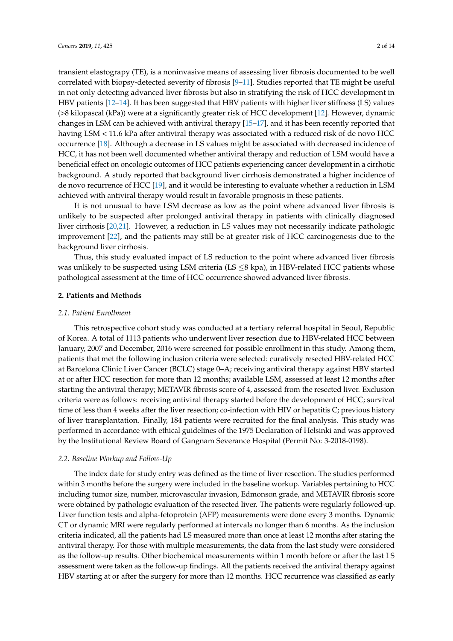transient elastograpy (TE), is a noninvasive means of assessing liver fibrosis documented to be well correlated with biopsy-detected severity of fibrosis [\[9–](#page-12-2)[11\]](#page-12-3). Studies reported that TE might be useful in not only detecting advanced liver fibrosis but also in stratifying the risk of HCC development in HBV patients [\[12–](#page-12-4)[14\]](#page-12-5). It has been suggested that HBV patients with higher liver stiffness (LS) values (>8 kilopascal (kPa)) were at a significantly greater risk of HCC development [\[12\]](#page-12-4). However, dynamic changes in LSM can be achieved with antiviral therapy [\[15](#page-12-6)[–17\]](#page-12-7), and it has been recently reported that having LSM < 11.6 kPa after antiviral therapy was associated with a reduced risk of de novo HCC occurrence [\[18\]](#page-12-8). Although a decrease in LS values might be associated with decreased incidence of HCC, it has not been well documented whether antiviral therapy and reduction of LSM would have a beneficial effect on oncologic outcomes of HCC patients experiencing cancer development in a cirrhotic background. A study reported that background liver cirrhosis demonstrated a higher incidence of de novo recurrence of HCC [\[19\]](#page-12-9), and it would be interesting to evaluate whether a reduction in LSM achieved with antiviral therapy would result in favorable prognosis in these patients.

It is not unusual to have LSM decrease as low as the point where advanced liver fibrosis is unlikely to be suspected after prolonged antiviral therapy in patients with clinically diagnosed liver cirrhosis [\[20,](#page-12-10)[21\]](#page-12-11). However, a reduction in LS values may not necessarily indicate pathologic improvement [\[22\]](#page-12-12), and the patients may still be at greater risk of HCC carcinogenesis due to the background liver cirrhosis.

Thus, this study evaluated impact of LS reduction to the point where advanced liver fibrosis was unlikely to be suspected using LSM criteria (LS  $\leq$ 8 kpa), in HBV-related HCC patients whose pathological assessment at the time of HCC occurrence showed advanced liver fibrosis.

# **2. Patients and Methods**

#### *2.1. Patient Enrollment*

This retrospective cohort study was conducted at a tertiary referral hospital in Seoul, Republic of Korea. A total of 1113 patients who underwent liver resection due to HBV-related HCC between January, 2007 and December, 2016 were screened for possible enrollment in this study. Among them, patients that met the following inclusion criteria were selected: curatively resected HBV-related HCC at Barcelona Clinic Liver Cancer (BCLC) stage 0–A; receiving antiviral therapy against HBV started at or after HCC resection for more than 12 months; available LSM, assessed at least 12 months after starting the antiviral therapy; METAVIR fibrosis score of 4, assessed from the resected liver. Exclusion criteria were as follows: receiving antiviral therapy started before the development of HCC; survival time of less than 4 weeks after the liver resection; co-infection with HIV or hepatitis C; previous history of liver transplantation. Finally, 184 patients were recruited for the final analysis. This study was performed in accordance with ethical guidelines of the 1975 Declaration of Helsinki and was approved by the Institutional Review Board of Gangnam Severance Hospital (Permit No: 3-2018-0198).

#### *2.2. Baseline Workup and Follow-Up*

The index date for study entry was defined as the time of liver resection. The studies performed within 3 months before the surgery were included in the baseline workup. Variables pertaining to HCC including tumor size, number, microvascular invasion, Edmonson grade, and METAVIR fibrosis score were obtained by pathologic evaluation of the resected liver. The patients were regularly followed-up. Liver function tests and alpha-fetoprotein (AFP) measurements were done every 3 months. Dynamic CT or dynamic MRI were regularly performed at intervals no longer than 6 months. As the inclusion criteria indicated, all the patients had LS measured more than once at least 12 months after staring the antiviral therapy. For those with multiple measurements, the data from the last study were considered as the follow-up results. Other biochemical measurements within 1 month before or after the last LS assessment were taken as the follow-up findings. All the patients received the antiviral therapy against HBV starting at or after the surgery for more than 12 months. HCC recurrence was classified as early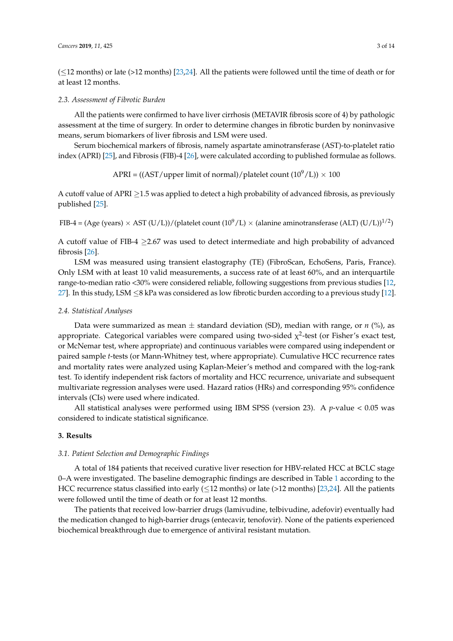$(\leq 12$  months) or late (>12 months) [\[23](#page-13-0)[,24\]](#page-13-1). All the patients were followed until the time of death or for at least 12 months.

#### *2.3. Assessment of Fibrotic Burden*

All the patients were confirmed to have liver cirrhosis (METAVIR fibrosis score of 4) by pathologic assessment at the time of surgery. In order to determine changes in fibrotic burden by noninvasive means, serum biomarkers of liver fibrosis and LSM were used.

Serum biochemical markers of fibrosis, namely aspartate aminotransferase (AST)-to-platelet ratio index (APRI) [\[25\]](#page-13-2), and Fibrosis (FIB)-4 [\[26\]](#page-13-3), were calculated according to published formulae as follows.

$$
APRI = ((AST/upper limit of normal)/platelet count (109/L)) \times 100
$$

A cutoff value of APRI  $\geq$ 1.5 was applied to detect a high probability of advanced fibrosis, as previously published [\[25\]](#page-13-2).

FIB-4 = (Age (years)  $\times$  AST (U/L))/(platelet count (10<sup>9</sup>/L)  $\times$  (alanine aminotransferase (ALT) (U/L))<sup>1/2</sup>)

A cutoff value of FIB-4 ≥2.67 was used to detect intermediate and high probability of advanced fibrosis [\[26\]](#page-13-3).

LSM was measured using transient elastography (TE) (FibroScan, EchoSens, Paris, France). Only LSM with at least 10 valid measurements, a success rate of at least 60%, and an interquartile range-to-median ratio <30% were considered reliable, following suggestions from previous studies [\[12,](#page-12-4) [27\]](#page-13-4). In this study, LSM ≤8 kPa was considered as low fibrotic burden according to a previous study [\[12\]](#page-12-4).

## *2.4. Statistical Analyses*

Data were summarized as mean  $\pm$  standard deviation (SD), median with range, or *n* (%), as appropriate. Categorical variables were compared using two-sided  $\chi^2$ -test (or Fisher's exact test, or McNemar test, where appropriate) and continuous variables were compared using independent or paired sample *t*-tests (or Mann-Whitney test, where appropriate). Cumulative HCC recurrence rates and mortality rates were analyzed using Kaplan-Meier's method and compared with the log-rank test. To identify independent risk factors of mortality and HCC recurrence, univariate and subsequent multivariate regression analyses were used. Hazard ratios (HRs) and corresponding 95% confidence intervals (CIs) were used where indicated.

All statistical analyses were performed using IBM SPSS (version 23). A  $p$ -value < 0.05 was considered to indicate statistical significance.

## **3. Results**

## *3.1. Patient Selection and Demographic Findings*

A total of 184 patients that received curative liver resection for HBV-related HCC at BCLC stage 0–A were investigated. The baseline demographic findings are described in Table [1](#page-3-0) according to the HCC recurrence status classified into early ( $\leq$ 12 months) or late (>12 months) [\[23,](#page-13-0)[24\]](#page-13-1). All the patients were followed until the time of death or for at least 12 months.

The patients that received low-barrier drugs (lamivudine, telbivudine, adefovir) eventually had the medication changed to high-barrier drugs (entecavir, tenofovir). None of the patients experienced biochemical breakthrough due to emergence of antiviral resistant mutation.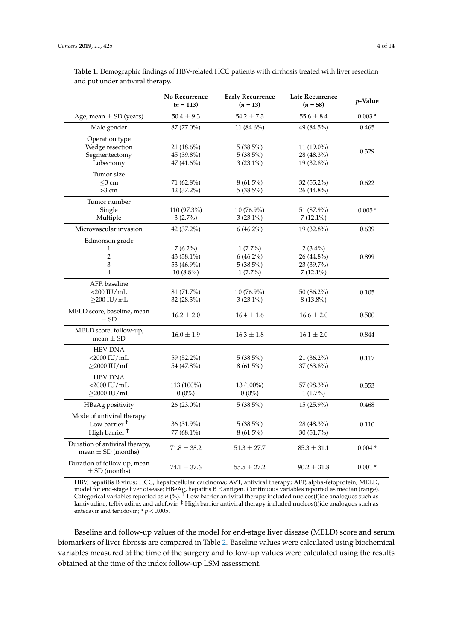Duration of follow up, mean

|                                                          | No Recurrence<br>$(n = 113)$ | <b>Early Recurrence</b><br>$(n = 13)$ | <b>Late Recurrence</b><br>$(n = 58)$ | $p$ -Value |
|----------------------------------------------------------|------------------------------|---------------------------------------|--------------------------------------|------------|
| Age, mean $\pm$ SD (years)                               | $50.4 \pm 9.3$               | $54.2 \pm 7.3$                        | $55.6 \pm 8.4$                       | $0.003*$   |
| Male gender                                              | 87 (77.0%)                   | 11 $(84.6\%)$                         | 49 (84.5%)                           | 0.465      |
| Operation type                                           |                              |                                       |                                      |            |
| Wedge resection                                          | 21 (18.6%)                   | $5(38.5\%)$                           | $11(19.0\%)$                         |            |
| Segmentectomy                                            | 45 (39.8%)                   | $5(38.5\%)$                           | 28 (48.3%)                           | 0.329      |
| Lobectomy                                                | 47 (41.6%)                   | $3(23.1\%)$                           | 19 (32.8%)                           |            |
| Tumor size                                               |                              |                                       |                                      |            |
| $<$ 3 cm                                                 | 71 (62.8%)                   | $8(61.5\%)$                           | $32(55.2\%)$                         | 0.622      |
| $>3$ cm                                                  | 42 (37.2%)                   | $5(38.5\%)$                           | 26 (44.8%)                           |            |
| Tumor number                                             |                              |                                       |                                      |            |
| Single                                                   | 110 (97.3%)                  | $10(76.9\%)$                          | 51 (87.9%)                           | $0.005*$   |
| Multiple                                                 | $3(2.7\%)$                   | $3(23.1\%)$                           | $7(12.1\%)$                          |            |
| Microvascular invasion                                   | 42 (37.2%)                   | $6(46.2\%)$                           | 19 (32.8%)                           | 0.639      |
| Edmonson grade                                           |                              |                                       |                                      |            |
| 1                                                        | $7(6.2\%)$                   | $1(7.7\%)$                            | $2(3.4\%)$                           |            |
| 2                                                        | 43 (38.1%)                   | $6(46.2\%)$                           | 26 (44.8%)                           | 0.899      |
| 3                                                        | 53 (46.9%)                   | $5(38.5\%)$                           | 23 (39.7%)                           |            |
| $\overline{4}$                                           | $10(8.8\%)$                  | $1(7.7\%)$                            | $7(12.1\%)$                          |            |
| AFP, baseline                                            |                              |                                       |                                      |            |
| $<$ 200 IU/mL                                            | 81 (71.7%)                   | $10(76.9\%)$                          | 50 (86.2%)                           | 0.105      |
| $\geq$ 200 IU/mL                                         | $32(28.3\%)$                 | $3(23.1\%)$                           | 8 (13.8%)                            |            |
| MELD score, baseline, mean<br>$\pm$ SD                   | $16.2 \pm 2.0$               | $16.4 \pm 1.6$                        | $16.6 \pm 2.0$                       | 0.500      |
| MELD score, follow-up,<br>mean $\pm$ SD                  | $16.0 \pm 1.9$               | $16.3 \pm 1.8$                        | $16.1 \pm 2.0$                       | 0.844      |
| <b>HBV DNA</b>                                           |                              |                                       |                                      |            |
| $<$ 2000 IU/mL                                           | 59 (52.2%)                   | $5(38.5\%)$                           | $21(36.2\%)$                         | 0.117      |
| $\geq$ 2000 IU/mL                                        | 54 (47.8%)                   | $8(61.5\%)$                           | 37 (63.8%)                           |            |
| <b>HBV DNA</b>                                           |                              |                                       |                                      |            |
| $<$ 2000 IU/mL                                           | 113 (100%)                   | 13 (100%)                             | 57 (98.3%)                           | 0.353      |
| $\geq$ 2000 IU/mL                                        | $0(0\%)$                     | $0(0\%)$                              | $1(1.7\%)$                           |            |
| HBeAg positivity                                         | 26 (23.0%)                   | $5(38.5\%)$                           | 15 (25.9%)                           | 0.468      |
| Mode of antiviral therapy                                |                              |                                       |                                      |            |
| Low barrier <sup>+</sup>                                 | 36 (31.9%)                   | $5(38.5\%)$                           | 28 (48.3%)                           | 0.110      |
| High barrier <sup>#</sup>                                | 77 (68.1%)                   | $8(61.5\%)$                           | 30 (51.7%)                           |            |
| Duration of antiviral therapy,<br>mean $\pm$ SD (months) | $71.8 \pm 38.2$              | $51.3 \pm 27.7$                       | $85.3 \pm 31.1$                      | $0.004*$   |

<span id="page-3-0"></span>**Table 1.** Demographic findings of HBV-related HCC patients with cirrhosis treated with liver resection and put under antiviral therapy.

HBV, hepatitis B virus; HCC, hepatocellular carcinoma; AVT, antiviral therapy; AFP, alpha-fetoprotein; MELD, model for end-stage liver disease; HBeAg, hepatitis B E antigen. Continuous variables reported as median (range). Categorical variables reported as *n* (%). † Low barrier antiviral therapy included nucleos(t)ide analogues such as lamivudine, telbivudine, and adefovir. ‡ High barrier antiviral therapy included nucleos(t)ide analogues such as entecavir and tenofovir.; \* *p* < 0.005.

 $\pm$  SD (months)  $74.1 \pm 37.6$   $55.5 \pm 27.2$   $90.2 \pm 31.8$  0.001 \*

Baseline and follow-up values of the model for end-stage liver disease (MELD) score and serum biomarkers of liver fibrosis are compared in Table [2.](#page-4-0) Baseline values were calculated using biochemical variables measured at the time of the surgery and follow-up values were calculated using the results obtained at the time of the index follow-up LSM assessment.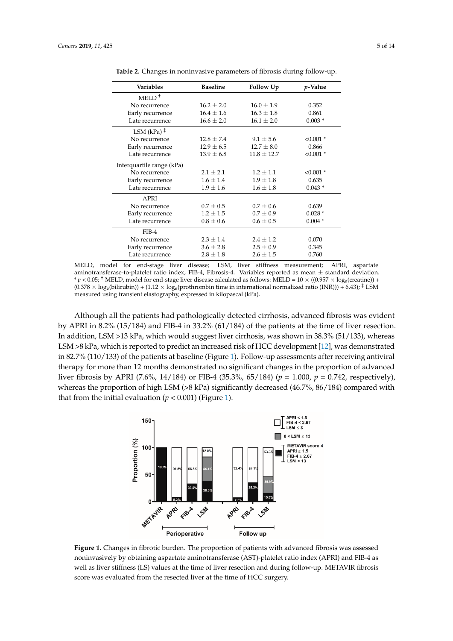<span id="page-4-0"></span>

| Variables                 | <b>Baseline</b> | Follow Up       | <i>p</i> -Value |
|---------------------------|-----------------|-----------------|-----------------|
| $MELD+$                   |                 |                 |                 |
|                           |                 |                 |                 |
| No recurrence             | $16.2 \pm 2.0$  | $16.0 \pm 1.9$  | 0.352           |
| Early recurrence          | $16.4 \pm 1.6$  | $16.3 \pm 1.8$  | 0.861           |
| Late recurrence           | $16.6 \pm 2.0$  | $16.1 \pm 2.0$  | $0.003*$        |
| LSM (kPa) $\ddagger$      |                 |                 |                 |
| No recurrence             | $12.8 \pm 7.4$  | $9.1 \pm 5.6$   | $< 0.001$ *     |
| Early recurrence          | $12.9 \pm 6.5$  | $12.7 \pm 8.0$  | 0.866           |
| Late recurrence           | $13.9 \pm 6.8$  | $11.8 \pm 12.7$ | $< 0.001$ *     |
| Interquartile range (kPa) |                 |                 |                 |
| No recurrence             | $2.1 \pm 2.1$   | $1.2 + 1.1$     | $< 0.001$ *     |
| Early recurrence          | $1.6 \pm 1.4$   | $1.9 \pm 1.8$   | 0.635           |
| Late recurrence           | $1.9 \pm 1.6$   | $1.6 \pm 1.8$   | $0.043*$        |
| APRI                      |                 |                 |                 |
| No recurrence             | $0.7 \pm 0.5$   | $0.7 \pm 0.6$   | 0.639           |
| Early recurrence          | $1.2 \pm 1.5$   | $0.7 \pm 0.9$   | $0.028*$        |
| Late recurrence           | $0.8 \pm 0.6$   | $0.6 \pm 0.5$   | $0.004*$        |
| $FIB-4$                   |                 |                 |                 |
| No recurrence             | $2.3 \pm 1.4$   | $2.4 + 1.2$     | 0.070           |
| Early recurrence          | $3.6 \pm 2.8$   | $2.5 \pm 0.9$   | 0.345           |
| Late recurrence           | $2.8 \pm 1.8$   | $2.6 \pm 1.5$   | 0.760           |

**Table 2.** Changes in noninvasive parameters of fibrosis during follow-up. **Table 2.** Changes in noninvasive parameters of fibrosis during follow-up.

MELD, model for end-stage liver disease; LSM, liver stiffness measurement; APRI, aspartate MELD, model for end-stage liver disease; LSM, liver stiffness measurement; APRI, aspartate aminotransferase-to-platelet ratio index; FIB-4, Fibrosis-4. Variables reported as mean  $\pm$  standard deviation. \*  $p < 0.05$ ; <sup>†</sup> MELD, model for end-stage liver disease calculated as follows: MELD =  $10 \times (0.957 \times \log_e(\text{creatment}))$  +  $(0.378 \times \log_e(\text{bilirubin})) + (1.12 \times \log_e(\text{prothrombin time in international normalized ratio (INR))) + 6.43);$ <sup>†</sup> LSM measured using transient elastography, expressed in kilopascal (kPa).

Although all the patients had pathologically detected cirrhosis, advanced fibrosis was evident Although all the patients had pathologically detected cirrhosis, advanced fibrosis was evident by by APRI in 8.2% (15/184) and FIB-4 in 33.2% (61/184) of the patients at the time of liver resection. In addition, LSM >13 kPa, which would suggest liver cirrhosis, was shown in 38.3% (51/133), whereas LSM >8 kPa, which is reported to predict an increased risk of HCC development [\[12\]](#page-12-4), was demonstrated in 82.7% (110/133) of the patients at baseline (Figure 1). Follow-up assessments after receiving antiviral 82.7% (110/133) of the patients at baseline (Figure [1\).](#page-4-1) Follow-up assessments after receiving antiviral therapy for more than 12 months demonstrated no significant changes in the proportion of advanced therapy for more than 12 months demonstrated no significant changes in the proportion of advanced liver fibrosis by APRI (7.6%, 14/184) or FIB-4 (35.3%, 65/184) ( $p = 1.000$ ,  $p = 0.742$ , respectively), whereas the proportion of high LSM (>8 kPa) significantly decreased (46.7%, 86/184) compared with that from the initial evaluation ( $p < 0.001$ ) (Figure 1). that from the initial evaluation  $(p < 0.001)$  (Figure 1).

<span id="page-4-1"></span>

**Figure 1**. Changes in fibrotic burden. The proportion of patients with advanced fibrosis was assessed **Figure 1.** Changes in fibrotic burden. The proportion of patients with advanced fibrosis was assessed noninvasively by obtaining aspartate aminotransferase (AST)-platelet ratio index (APRI) and FIB-4 as noninvasively by obtaining aspartate aminotransferase (AST)-platelet ratio index (APRI) and FIB-4 as well as liver stiffness (LS) values at the time of liver resection and during follow-up. METAVIR fibrosis score was evaluated from the resected liver at the time of HCC surgery.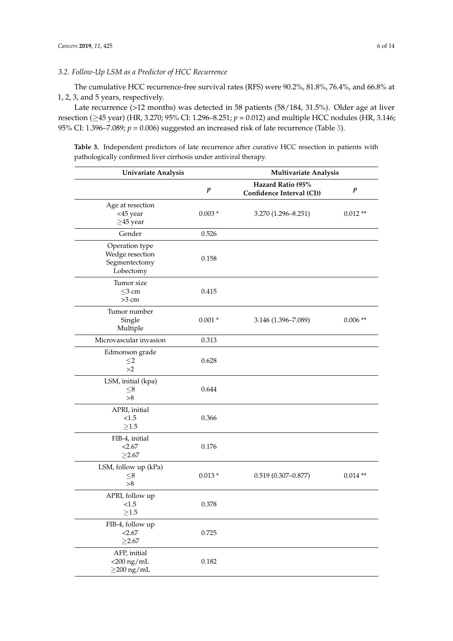# *3.2. Follow-Up LSM as a Predictor of HCC Recurrence*

The cumulative HCC recurrence-free survival rates (RFS) were 90.2%, 81.8%, 76.4%, and 66.8% at 1, 2, 3, and 5 years, respectively.

Late recurrence (>12 months) was detected in 58 patients (58/184, 31.5%). Older age at liver resection (≥45 year) (HR, 3.270; 95% CI: 1.296–8.251; *p* = 0.012) and multiple HCC nodules (HR, 3.146; 95% CI: 1.396–7.089;  $p = 0.006$ ) suggested an increased risk of late recurrence (Table [3\)](#page-6-0).

**Table 3.** Independent predictors of late recurrence after curative HCC resection in patients with pathologically confirmed liver cirrhosis under antiviral therapy.

| <b>Univariate Analysis</b>                                      |                  | Multivariate Analysis                          |                  |  |
|-----------------------------------------------------------------|------------------|------------------------------------------------|------------------|--|
|                                                                 | $\boldsymbol{p}$ | Hazard Ratio (95%<br>Confidence Interval (CI)) | $\boldsymbol{p}$ |  |
| Age at resection<br><45 year<br>$\geq$ 45 year                  | $0.003*$         | 3.270 (1.296-8.251)                            | $0.012**$        |  |
| Gender                                                          | 0.526            |                                                |                  |  |
| Operation type<br>Wedge resection<br>Segmentectomy<br>Lobectomy | 0.158            |                                                |                  |  |
| Tumor size<br>$\leq$ 3 cm<br>$>3$ cm                            | 0.415            |                                                |                  |  |
| Tumor number<br>Single<br>Multiple                              | $0.001 *$        | 3.146 (1.396-7.089)                            | $0.006**$        |  |
| Microvascular invasion                                          | 0.313            |                                                |                  |  |
| Edmonson grade<br>$\leq$ 2<br>>2                                | 0.628            |                                                |                  |  |
| LSM, initial (kpa)<br>${\leq}8$<br>>8                           | 0.644            |                                                |                  |  |
| APRI, initial<br>< 1.5<br>$\geq1.5$                             | 0.366            |                                                |                  |  |
| FIB-4, initial<br>< 2.67<br>$\geq$ 2.67                         | 0.176            |                                                |                  |  |
| LSM, follow up (kPa)<br>${\leq}8$<br>$>\!\!8$                   | $0.013*$         | $0.519(0.307 - 0.877)$                         | $0.014**$        |  |
| APRI, follow up<br>< 1.5<br>$\geq1.5$                           | 0.378            |                                                |                  |  |
| FIB-4, follow up<br>< 2.67<br>$\geq$ 2.67                       | 0.725            |                                                |                  |  |
| AFP, initial<br>$<$ 200 ng/mL<br>$\geq$ 200 ng/mL               | 0.182            |                                                |                  |  |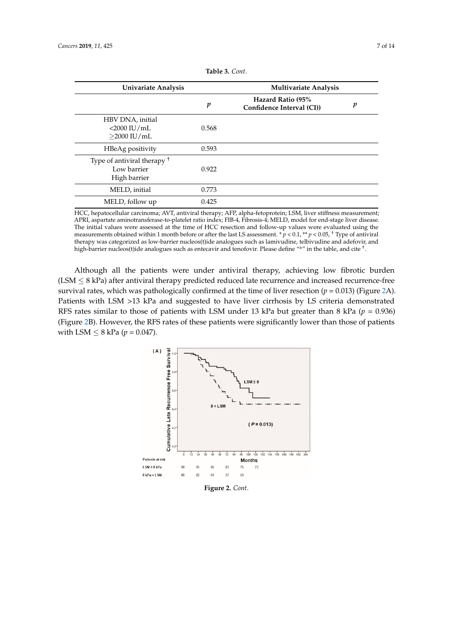<span id="page-6-0"></span>

| <b>Univariate Analysis</b>                                            |       | <b>Multivariate Analysis</b>                   |   |  |
|-----------------------------------------------------------------------|-------|------------------------------------------------|---|--|
|                                                                       | p     | Hazard Ratio (95%<br>Confidence Interval (CI)) | p |  |
| HBV DNA, initial<br>$<$ 2000 IU/mL<br>$>$ 2000 IU/mL                  | 0.568 |                                                |   |  |
| HBeAg positivity                                                      | 0.593 |                                                |   |  |
| Type of antiviral therapy <sup>†</sup><br>Low barrier<br>High barrier | 0.922 |                                                |   |  |
| MELD, initial                                                         | 0.773 |                                                |   |  |
| MELD, follow up                                                       | 0.425 |                                                |   |  |

**Table 3.** *Cont*.

HCC, hepatocellular carcinoma; AVT, antiviral therapy; AFP, alpha-fetoprotein; LSM, liver stiffness measurement; HCC, hepatocellular carcinoma; AVT, antiviral therapy; AFP, alpha-fetoprotein; LSM, liver stiffness APRI, aspartate aminotransferase-to-platelet ratio index; FIB-4, Fibrosis-4; MELD, model for end-stage liver disease. APRI, aspartate aminotransferase-to-platelet ratio index; FIB-4, Fibrosis-4; MELD, model for end-stage liver disease.<br>The initial values were assessed at the time of HCC resection and follow-up values were evaluated using measurements obtained within 1 month before or after the last LS assessment. \*  $p < 0.1$ , \*\*  $p < 0.05$ , <sup>†</sup> Type of antiviral therapy was categorized as low-barrier nucleos(t)ide analogues such as lamivudine, telbivudine and adefovir, and high-barrier nucleos(t)ide analogues such as entecavir and tenofovir. Please define "a" in the table, and cite  $^{\dagger}$ .

Although all the patients were under antiviral therapy, achieving low fibrotic burden  $(LSM \leq 8$  kPa) after antiviral therapy predicted reduced late recurrence and increased recurrence-free survival rates, which was pathologically confirmed at the time of liver resection ( $p = 0.013$ ) (Figure 2A). Patients with LSM >13 kPa and suggested to have liver cirrhosis by LS criteria demonstrated RFS rates similar to those of patients with LSM under 13 kPa but greater than 8 kPa ( $p = 0.936$ ) (Figure [2B](#page-7-0)). However, the RFS rates of these patients were significantly lower than those of patients with LSM  $\leq$  8 kPa ( $p$  = 0.047).



**Figure 2.** *Cont*.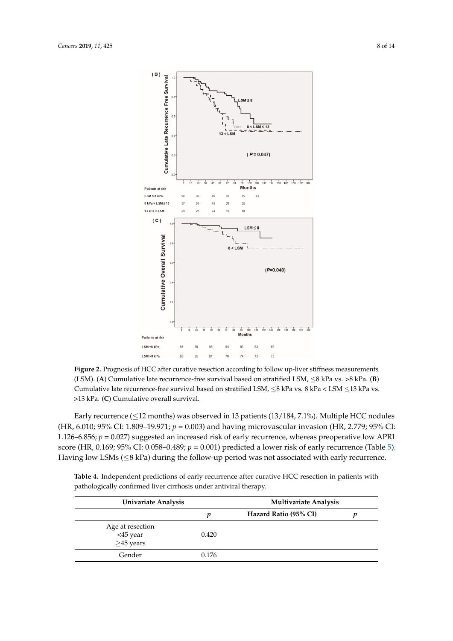<span id="page-7-0"></span>

**Figure 2** Prognosis of HCC after curative resection according to follow up-liver stiffness measurements **Figure 2.** Prognosis of HCC after curative resection according to follow up-liver stiffness measurements (LSM). (A) Cumulative late recurrence-free survival based on stratified LSM,  $\leq$ 8 kPa vs. >8 kPa. (B) Cumulative late recurrence-free survival based on stratified LSM,  $\leq$ 8 kPa vs. 8 kPa < LSM  $\leq$ 13 kPa vs. >13 kPa. (**C**) Cumulative overall survival. >13 kPa. (**C**) Cumulative overall survival.

Early recurrence ( $\leq$ 12 months) was observed in 13 patients (13/184, 7.1%). Multiple HCC nodules (HR, 6.010; 95% CI: 1.809–19.971; *P* = 0.003) and having microvascular invasion (HR, 2.779; 95% CI: (HR, 6.010; 95% CI: 1.809–19.971; *p* = 0.003) and having microvascular invasion (HR, 2.779; 95% CI: 1.126–6.856; *P* = 0.027) suggested an increased risk of early recurrence, whereas preoperative low APRI 1.126–6.856; *p* = 0.027) suggested an increased risk of early recurrence, whereas preoperative low APRI score (HR, 0.169; 95% CI: 0.058–0.489;  $p = 0.001$ ) predicted a lower risk of early recurrence (Table 5). Having low LSMs (≤8 kPa) during the follow-up period was not associated with early recurrence. Having low LSMs (≤8 kPa) during the follow-up period was not associated with early recurrence.

| Table 4. Independent predictions of early recurrence after curative HCC resection in patients with |
|----------------------------------------------------------------------------------------------------|
| pathologically confirmed liver cirrhosis under antiviral therapy.                                  |

|                                                 | Univariate Analysis |                       | <b>Multivariate Analysis</b> |  |
|-------------------------------------------------|---------------------|-----------------------|------------------------------|--|
|                                                 | п                   | Hazard Ratio (95% CI) |                              |  |
| Age at resection<br><45 year<br>$\geq$ 45 years | 0.420               |                       |                              |  |
| Gender                                          | 0.176               |                       |                              |  |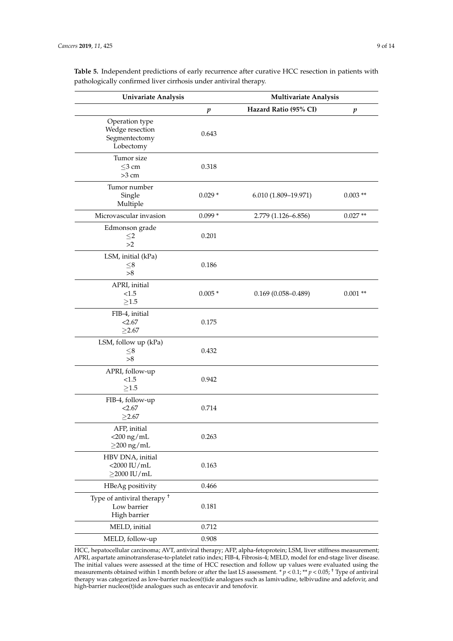| <b>Univariate Analysis</b>                                            |                  | <b>Multivariate Analysis</b> |                  |  |
|-----------------------------------------------------------------------|------------------|------------------------------|------------------|--|
|                                                                       | $\boldsymbol{p}$ | Hazard Ratio (95% CI)        | $\boldsymbol{p}$ |  |
| Operation type<br>Wedge resection<br>Segmentectomy<br>Lobectomy       | 0.643            |                              |                  |  |
| Tumor size<br>$\leq$ 3 cm<br>$>3$ cm                                  | 0.318            |                              |                  |  |
| Tumor number<br>Single<br>Multiple                                    | $0.029*$         | 6.010 (1.809-19.971)         | $0.003**$        |  |
| Microvascular invasion                                                | $0.099*$         | 2.779 (1.126-6.856)          | $0.027**$        |  |
| Edmonson grade<br>$\leq$ 2<br>>2                                      | 0.201            |                              |                  |  |
| LSM, initial (kPa)<br>$\leq$ 8<br>>8                                  | 0.186            |                              |                  |  |
| APRI, initial<br>< 1.5<br>$\geq1.5$                                   | $0.005*$         | $0.169(0.058 - 0.489)$       | $0.001**$        |  |
| FIB-4, initial<br>< 2.67<br>$\geq$ 2.67                               | 0.175            |                              |                  |  |
| LSM, follow up (kPa)<br>${\leq}8$<br>>8                               | 0.432            |                              |                  |  |
| APRI, follow-up<br>< 1.5<br>$\geq1.5$                                 | 0.942            |                              |                  |  |
| FIB-4, follow-up<br>< 2.67<br>$\geq$ 2.67                             | 0.714            |                              |                  |  |
| AFP, initial<br>$<$ 200 ng/mL<br>$\geq$ 200 ng/mL                     | 0.263            |                              |                  |  |
| HBV DNA, initial<br>$<$ 2000 IU/mL<br>$\geq$ 2000 IU/mL               | 0.163            |                              |                  |  |
| HBeAg positivity                                                      | 0.466            |                              |                  |  |
| Type of antiviral therapy <sup>+</sup><br>Low barrier<br>High barrier | 0.181            |                              |                  |  |
| MELD, initial                                                         | 0.712            |                              |                  |  |
| MELD, follow-up                                                       | 0.908            |                              |                  |  |

<span id="page-8-0"></span>**Table 5.** Independent predictions of early recurrence after curative HCC resection in patients with pathologically confirmed liver cirrhosis under antiviral therapy.

HCC, hepatocellular carcinoma; AVT, antiviral therapy; AFP, alpha-fetoprotein; LSM, liver stiffness measurement; APRI, aspartate aminotransferase-to-platelet ratio index; FIB-4, Fibrosis-4; MELD, model for end-stage liver disease. The initial values were assessed at the time of HCC resection and follow up values were evaluated using the measurements obtained within 1 month before or after the last LS assessment. \* *p* < 0.1; \*\* *p* < 0.05; † Type of antiviral therapy was categorized as low-barrier nucleos(t)ide analogues such as lamivudine, telbivudine and adefovir, and high-barrier nucleos(t)ide analogues such as entecavir and tenofovir.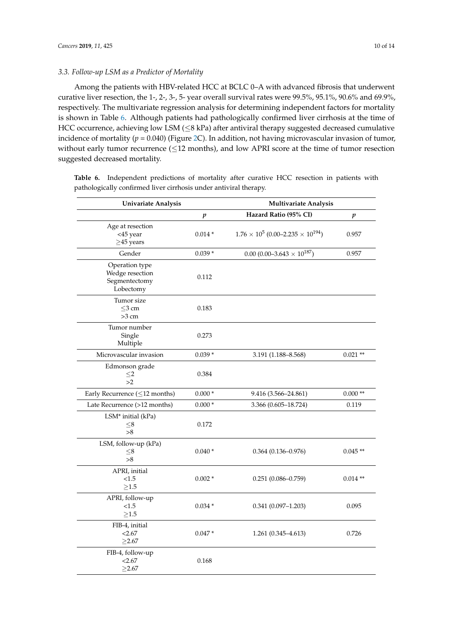# *3.3. Follow-up LSM as a Predictor of Mortality*

Among the patients with HBV-related HCC at BCLC 0–A with advanced fibrosis that underwent curative liver resection, the 1-, 2-, 3-, 5- year overall survival rates were 99.5%, 95.1%, 90.6% and 69.9%, respectively. The multivariate regression analysis for determining independent factors for mortality is shown in Table [6.](#page-10-0) Although patients had pathologically confirmed liver cirrhosis at the time of HCC occurrence, achieving low LSM (≤8 kPa) after antiviral therapy suggested decreased cumulative incidence of mortality ( $p = 0.040$ ) (Figure [2C](#page-7-0)). In addition, not having microvascular invasion of tumor, without early tumor recurrence  $(\leq 12$  months), and low APRI score at the time of tumor resection suggested decreased mortality.

| Univariate Analysis<br><b>Multivariate Analysis</b>             |                  |                                                   |           |
|-----------------------------------------------------------------|------------------|---------------------------------------------------|-----------|
|                                                                 | $\boldsymbol{p}$ | Hazard Ratio (95% CI)                             | p         |
| Age at resection<br><45 year<br>$\geq$ 45 years                 | $0.014*$         | $1.76 \times 10^5 (0.00 - 2.235 \times 10^{194})$ | 0.957     |
| Gender                                                          | $0.039*$         | $0.00(0.00-3.643\times10^{187})$                  | 0.957     |
| Operation type<br>Wedge resection<br>Segmentectomy<br>Lobectomy | 0.112            |                                                   |           |
| Tumor size<br>$\leq$ 3 cm<br>$>3$ cm                            | 0.183            |                                                   |           |
| Tumor number<br>Single<br>Multiple                              | 0.273            |                                                   |           |
| Microvascular invasion                                          | $0.039*$         | 3.191 (1.188-8.568)                               | $0.021**$ |
| Edmonson grade<br>$\leq$ 2<br>>2                                | 0.384            |                                                   |           |
| Early Recurrence $(\leq 12$ months)                             | $0.000*$         | 9.416 (3.566-24.861)                              | $0.000**$ |
| Late Recurrence (>12 months)                                    | $0.000*$         | 3.366 (0.605-18.724)                              | 0.119     |
| LSM* initial (kPa)<br>$_{\leq 8}$<br>> 8                        | 0.172            |                                                   |           |
| LSM, follow-up (kPa)<br>$\leq$ 8<br>>8                          | $0.040*$         | $0.364(0.136 - 0.976)$                            | $0.045**$ |
| APRI, initial<br>< 1.5<br>${\ge}1.5$                            | $0.002*$         | $0.251(0.086 - 0.759)$                            | $0.014**$ |
| APRI, follow-up<br>${<}1.5$<br>${\ge}1.5$                       | $0.034*$         | $0.341(0.097 - 1.203)$                            | 0.095     |
| FIB-4, initial<br>< 2.67<br>>2.67                               | $0.047*$         | $1.261(0.345 - 4.613)$                            | 0.726     |
| FIB-4, follow-up<br>< 2.67<br>>2.67                             | 0.168            |                                                   |           |

Table 6. Independent predictions of mortality after curative HCC resection in patients with pathologically confirmed liver cirrhosis under antiviral therapy.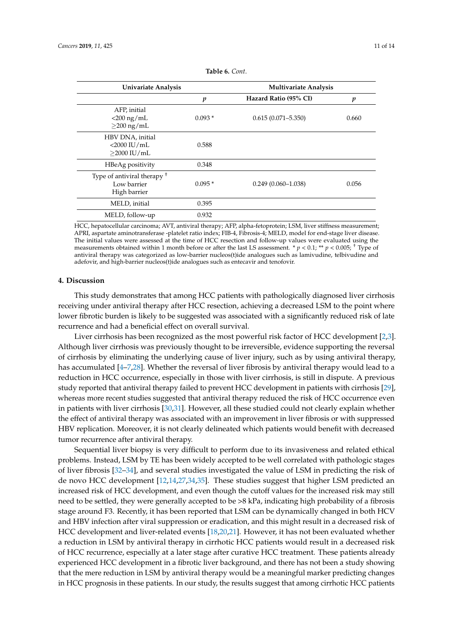<span id="page-10-0"></span>

| Univariate Analysis                                                   |          | <b>Multivariate Analysis</b> |       |  |
|-----------------------------------------------------------------------|----------|------------------------------|-------|--|
|                                                                       | p        | Hazard Ratio (95% CI)        | p     |  |
| AFP, initial<br>$<$ 200 ng/mL<br>$\geq$ 200 ng/mL                     | $0.093*$ | $0.615(0.071 - 5.350)$       | 0.660 |  |
| HBV DNA, initial<br>$<$ 2000 IU/mL<br>$>$ 2000 IU/mL                  | 0.588    |                              |       |  |
| HBeAg positivity                                                      | 0.348    |                              |       |  |
| Type of antiviral therapy <sup>+</sup><br>Low barrier<br>High barrier | $0.095*$ | $0.249(0.060 - 1.038)$       | 0.056 |  |
| MELD, initial                                                         | 0.395    |                              |       |  |
| MELD, follow-up                                                       | 0.932    |                              |       |  |

**Table 6.** *Cont*.

HCC, hepatocellular carcinoma; AVT, antiviral therapy; AFP, alpha-fetoprotein; LSM, liver stiffness measurement; APRI, aspartate aminotransferase -platelet ratio index; FIB-4, Fibrosis-4; MELD, model for end-stage liver disease. The initial values were assessed at the time of HCC resection and follow-up values were evaluated using the measurements obtained within 1 month before or after the last LS assessment. \*  $p < 0.1$ ; \*\*  $p < 0.005$ ;  $\dagger$  Type of antiviral therapy was categorized as low-barrier nucleos(t)ide analogues such as lamivudine, telbivudine and adefovir, and high-barrier nucleos(t)ide analogues such as entecavir and tenofovir.

## **4. Discussion**

This study demonstrates that among HCC patients with pathologically diagnosed liver cirrhosis receiving under antiviral therapy after HCC resection, achieving a decreased LSM to the point where lower fibrotic burden is likely to be suggested was associated with a significantly reduced risk of late recurrence and had a beneficial effect on overall survival.

Liver cirrhosis has been recognized as the most powerful risk factor of HCC development [\[2,](#page-11-1)[3\]](#page-11-2). Although liver cirrhosis was previously thought to be irreversible, evidence supporting the reversal of cirrhosis by eliminating the underlying cause of liver injury, such as by using antiviral therapy, has accumulated [\[4](#page-11-3)[–7](#page-12-0)[,28\]](#page-13-5). Whether the reversal of liver fibrosis by antiviral therapy would lead to a reduction in HCC occurrence, especially in those with liver cirrhosis, is still in dispute. A previous study reported that antiviral therapy failed to prevent HCC development in patients with cirrhosis [\[29\]](#page-13-6), whereas more recent studies suggested that antiviral therapy reduced the risk of HCC occurrence even in patients with liver cirrhosis [\[30,](#page-13-7)[31\]](#page-13-8). However, all these studied could not clearly explain whether the effect of antiviral therapy was associated with an improvement in liver fibrosis or with suppressed HBV replication. Moreover, it is not clearly delineated which patients would benefit with decreased tumor recurrence after antiviral therapy.

Sequential liver biopsy is very difficult to perform due to its invasiveness and related ethical problems. Instead, LSM by TE has been widely accepted to be well correlated with pathologic stages of liver fibrosis [\[32–](#page-13-9)[34\]](#page-13-10), and several studies investigated the value of LSM in predicting the risk of de novo HCC development [\[12](#page-12-4)[,14](#page-12-5)[,27](#page-13-4)[,34](#page-13-10)[,35\]](#page-13-11). These studies suggest that higher LSM predicted an increased risk of HCC development, and even though the cutoff values for the increased risk may still need to be settled, they were generally accepted to be >8 kPa, indicating high probability of a fibrosis stage around F3. Recently, it has been reported that LSM can be dynamically changed in both HCV and HBV infection after viral suppression or eradication, and this might result in a decreased risk of HCC development and liver-related events [\[18,](#page-12-8)[20,](#page-12-10)[21\]](#page-12-11). However, it has not been evaluated whether a reduction in LSM by antiviral therapy in cirrhotic HCC patients would result in a decreased risk of HCC recurrence, especially at a later stage after curative HCC treatment. These patients already experienced HCC development in a fibrotic liver background, and there has not been a study showing that the mere reduction in LSM by antiviral therapy would be a meaningful marker predicting changes in HCC prognosis in these patients. In our study, the results suggest that among cirrhotic HCC patients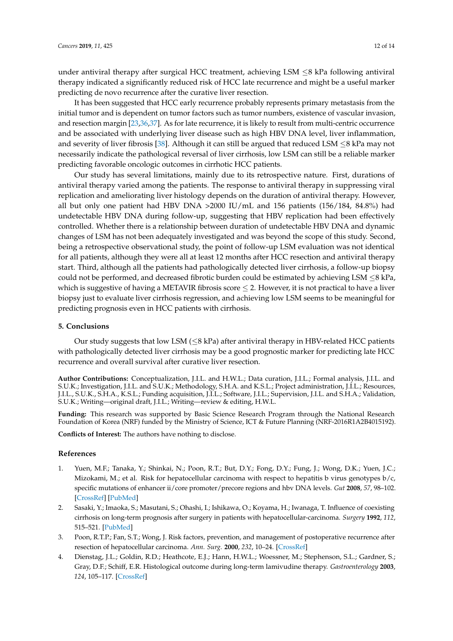under antiviral therapy after surgical HCC treatment, achieving LSM  $\leq$ 8 kPa following antiviral therapy indicated a significantly reduced risk of HCC late recurrence and might be a useful marker predicting de novo recurrence after the curative liver resection.

It has been suggested that HCC early recurrence probably represents primary metastasis from the initial tumor and is dependent on tumor factors such as tumor numbers, existence of vascular invasion, and resection margin [\[23](#page-13-0)[,36](#page-13-12)[,37\]](#page-13-13). As for late recurrence, it is likely to result from multi-centric occurrence and be associated with underlying liver disease such as high HBV DNA level, liver inflammation, and severity of liver fibrosis [\[38\]](#page-13-14). Although it can still be argued that reduced LSM  $\leq$ 8 kPa may not necessarily indicate the pathological reversal of liver cirrhosis, low LSM can still be a reliable marker predicting favorable oncologic outcomes in cirrhotic HCC patients.

Our study has several limitations, mainly due to its retrospective nature. First, durations of antiviral therapy varied among the patients. The response to antiviral therapy in suppressing viral replication and ameliorating liver histology depends on the duration of antiviral therapy. However, all but only one patient had HBV DNA >2000 IU/mL and 156 patients (156/184, 84.8%) had undetectable HBV DNA during follow-up, suggesting that HBV replication had been effectively controlled. Whether there is a relationship between duration of undetectable HBV DNA and dynamic changes of LSM has not been adequately investigated and was beyond the scope of this study. Second, being a retrospective observational study, the point of follow-up LSM evaluation was not identical for all patients, although they were all at least 12 months after HCC resection and antiviral therapy start. Third, although all the patients had pathologically detected liver cirrhosis, a follow-up biopsy could not be performed, and decreased fibrotic burden could be estimated by achieving LSM  $\leq$ 8 kPa, which is suggestive of having a METAVIR fibrosis score  $\leq$  2. However, it is not practical to have a liver biopsy just to evaluate liver cirrhosis regression, and achieving low LSM seems to be meaningful for predicting prognosis even in HCC patients with cirrhosis.

#### **5. Conclusions**

Our study suggests that low LSM ( $\leq$ 8 kPa) after antiviral therapy in HBV-related HCC patients with pathologically detected liver cirrhosis may be a good prognostic marker for predicting late HCC recurrence and overall survival after curative liver resection.

**Author Contributions:** Conceptualization, J.I.L. and H.W.L.; Data curation, J.I.L.; Formal analysis, J.I.L. and S.U.K.; Investigation, J.I.L. and S.U.K.; Methodology, S.H.A. and K.S.L.; Project administration, J.I.L.; Resources, J.I.L., S.U.K., S.H.A., K.S.L.; Funding acquisition, J.I.L.; Software, J.I.L.; Supervision, J.I.L. and S.H.A.; Validation, S.U.K.; Writing—original draft, J.I.L.; Writing—review & editing, H.W.L.

**Funding:** This research was supported by Basic Science Research Program through the National Research Foundation of Korea (NRF) funded by the Ministry of Science, ICT & Future Planning (NRF-2016R1A2B4015192).

**Conflicts of Interest:** The authors have nothing to disclose.

#### **References**

- <span id="page-11-0"></span>1. Yuen, M.F.; Tanaka, Y.; Shinkai, N.; Poon, R.T.; But, D.Y.; Fong, D.Y.; Fung, J.; Wong, D.K.; Yuen, J.C.; Mizokami, M.; et al. Risk for hepatocellular carcinoma with respect to hepatitis b virus genotypes b/c, specific mutations of enhancer ii/core promoter/precore regions and hbv DNA levels. *Gut* **2008**, *57*, 98–102. [\[CrossRef\]](http://dx.doi.org/10.1136/gut.2007.119859) [\[PubMed\]](http://www.ncbi.nlm.nih.gov/pubmed/17483190)
- <span id="page-11-1"></span>2. Sasaki, Y.; Imaoka, S.; Masutani, S.; Ohashi, I.; Ishikawa, O.; Koyama, H.; Iwanaga, T. Influence of coexisting cirrhosis on long-term prognosis after surgery in patients with hepatocellular-carcinoma. *Surgery* **1992**, *112*, 515–521. [\[PubMed\]](http://www.ncbi.nlm.nih.gov/pubmed/1325673)
- <span id="page-11-2"></span>3. Poon, R.T.P.; Fan, S.T.; Wong, J. Risk factors, prevention, and management of postoperative recurrence after resection of hepatocellular carcinoma. *Ann. Surg.* **2000**, *232*, 10–24. [\[CrossRef\]](http://dx.doi.org/10.1097/00000658-200007000-00003)
- <span id="page-11-3"></span>4. Dienstag, J.L.; Goldin, R.D.; Heathcote, E.J.; Hann, H.W.L.; Woessner, M.; Stephenson, S.L.; Gardner, S.; Gray, D.F.; Schiff, E.R. Histological outcome during long-term lamivudine therapy. *Gastroenterology* **2003**, *124*, 105–117. [\[CrossRef\]](http://dx.doi.org/10.1053/gast.2003.50013)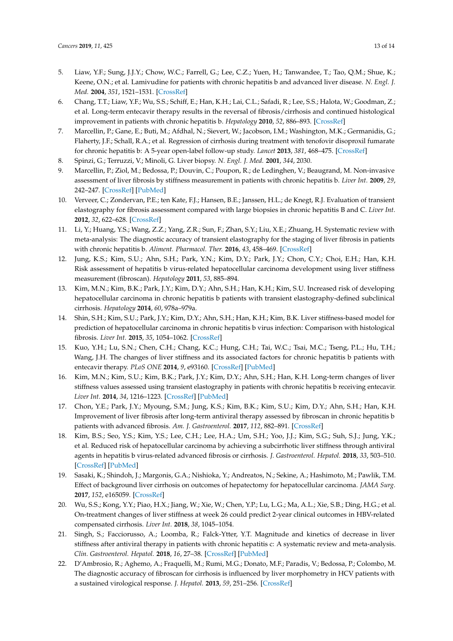- 5. Liaw, Y.F.; Sung, J.J.Y.; Chow, W.C.; Farrell, G.; Lee, C.Z.; Yuen, H.; Tanwandee, T.; Tao, Q.M.; Shue, K.; Keene, O.N.; et al. Lamivudine for patients with chronic hepatitis b and advanced liver disease. *N. Engl. J. Med.* **2004**, *351*, 1521–1531. [\[CrossRef\]](http://dx.doi.org/10.1056/NEJMoa033364)
- 6. Chang, T.T.; Liaw, Y.F.; Wu, S.S.; Schiff, E.; Han, K.H.; Lai, C.L.; Safadi, R.; Lee, S.S.; Halota, W.; Goodman, Z.; et al. Long-term entecavir therapy results in the reversal of fibrosis/cirrhosis and continued histological improvement in patients with chronic hepatitis b. *Hepatology* **2010**, *52*, 886–893. [\[CrossRef\]](http://dx.doi.org/10.1002/hep.23785)
- <span id="page-12-0"></span>7. Marcellin, P.; Gane, E.; Buti, M.; Afdhal, N.; Sievert, W.; Jacobson, I.M.; Washington, M.K.; Germanidis, G.; Flaherty, J.F.; Schall, R.A.; et al. Regression of cirrhosis during treatment with tenofovir disoproxil fumarate for chronic hepatitis b: A 5-year open-label follow-up study. *Lancet* **2013**, *381*, 468–475. [\[CrossRef\]](http://dx.doi.org/10.1016/S0140-6736(12)61425-1)
- <span id="page-12-1"></span>8. Spinzi, G.; Terruzzi, V.; Minoli, G. Liver biopsy. *N. Engl. J. Med.* **2001**, *344*, 2030.
- <span id="page-12-2"></span>9. Marcellin, P.; Ziol, M.; Bedossa, P.; Douvin, C.; Poupon, R.; de Ledinghen, V.; Beaugrand, M. Non-invasive assessment of liver fibrosis by stiffness measurement in patients with chronic hepatitis b. *Liver Int.* **2009**, *29*, 242–247. [\[CrossRef\]](http://dx.doi.org/10.1111/j.1478-3231.2008.01802.x) [\[PubMed\]](http://www.ncbi.nlm.nih.gov/pubmed/18637064)
- 10. Verveer, C.; Zondervan, P.E.; ten Kate, F.J.; Hansen, B.E.; Janssen, H.L.; de Knegt, R.J. Evaluation of transient elastography for fibrosis assessment compared with large biopsies in chronic hepatitis B and C. *Liver Int.* **2012**, *32*, 622–628. [\[CrossRef\]](http://dx.doi.org/10.1111/j.1478-3231.2011.02663.x)
- <span id="page-12-3"></span>11. Li, Y.; Huang, Y.S.; Wang, Z.Z.; Yang, Z.R.; Sun, F.; Zhan, S.Y.; Liu, X.E.; Zhuang, H. Systematic review with meta-analysis: The diagnostic accuracy of transient elastography for the staging of liver fibrosis in patients with chronic hepatitis b. *Aliment. Pharmacol. Ther.* **2016**, *43*, 458–469. [\[CrossRef\]](http://dx.doi.org/10.1111/apt.13488)
- <span id="page-12-4"></span>12. Jung, K.S.; Kim, S.U.; Ahn, S.H.; Park, Y.N.; Kim, D.Y.; Park, J.Y.; Chon, C.Y.; Choi, E.H.; Han, K.H. Risk assessment of hepatitis b virus-related hepatocellular carcinoma development using liver stiffness measurement (fibroscan). *Hepatology* **2011**, *53*, 885–894.
- 13. Kim, M.N.; Kim, B.K.; Park, J.Y.; Kim, D.Y.; Ahn, S.H.; Han, K.H.; Kim, S.U. Increased risk of developing hepatocellular carcinoma in chronic hepatitis b patients with transient elastography-defined subclinical cirrhosis. *Hepatology* **2014**, *60*, 978a–979a.
- <span id="page-12-5"></span>14. Shin, S.H.; Kim, S.U.; Park, J.Y.; Kim, D.Y.; Ahn, S.H.; Han, K.H.; Kim, B.K. Liver stiffness-based model for prediction of hepatocellular carcinoma in chronic hepatitis b virus infection: Comparison with histological fibrosis. *Liver Int.* **2015**, *35*, 1054–1062. [\[CrossRef\]](http://dx.doi.org/10.1111/liv.12621)
- <span id="page-12-6"></span>15. Kuo, Y.H.; Lu, S.N.; Chen, C.H.; Chang, K.C.; Hung, C.H.; Tai, W.C.; Tsai, M.C.; Tseng, P.L.; Hu, T.H.; Wang, J.H. The changes of liver stiffness and its associated factors for chronic hepatitis b patients with entecavir therapy. *PLoS ONE* **2014**, *9*, e93160. [\[CrossRef\]](http://dx.doi.org/10.1371/journal.pone.0093160) [\[PubMed\]](http://www.ncbi.nlm.nih.gov/pubmed/24682088)
- 16. Kim, M.N.; Kim, S.U.; Kim, B.K.; Park, J.Y.; Kim, D.Y.; Ahn, S.H.; Han, K.H. Long-term changes of liver stiffness values assessed using transient elastography in patients with chronic hepatitis b receiving entecavir. *Liver Int.* **2014**, *34*, 1216–1223. [\[CrossRef\]](http://dx.doi.org/10.1111/liv.12377) [\[PubMed\]](http://www.ncbi.nlm.nih.gov/pubmed/24267737)
- <span id="page-12-7"></span>17. Chon, Y.E.; Park, J.Y.; Myoung, S.M.; Jung, K.S.; Kim, B.K.; Kim, S.U.; Kim, D.Y.; Ahn, S.H.; Han, K.H. Improvement of liver fibrosis after long-term antiviral therapy assessed by fibroscan in chronic hepatitis b patients with advanced fibrosis. *Am. J. Gastroenterol.* **2017**, *112*, 882–891. [\[CrossRef\]](http://dx.doi.org/10.1038/ajg.2017.93)
- <span id="page-12-8"></span>18. Kim, B.S.; Seo, Y.S.; Kim, Y.S.; Lee, C.H.; Lee, H.A.; Um, S.H.; Yoo, J.J.; Kim, S.G.; Suh, S.J.; Jung, Y.K.; et al. Reduced risk of hepatocellular carcinoma by achieving a subcirrhotic liver stiffness through antiviral agents in hepatitis b virus-related advanced fibrosis or cirrhosis. *J. Gastroenterol. Hepatol.* **2018**, *33*, 503–510. [\[CrossRef\]](http://dx.doi.org/10.1111/jgh.13854) [\[PubMed\]](http://www.ncbi.nlm.nih.gov/pubmed/28666070)
- <span id="page-12-9"></span>19. Sasaki, K.; Shindoh, J.; Margonis, G.A.; Nishioka, Y.; Andreatos, N.; Sekine, A.; Hashimoto, M.; Pawlik, T.M. Effect of background liver cirrhosis on outcomes of hepatectomy for hepatocellular carcinoma. *JAMA Surg.* **2017**, *152*, e165059. [\[CrossRef\]](http://dx.doi.org/10.1001/jamasurg.2016.5059)
- <span id="page-12-10"></span>20. Wu, S.S.; Kong, Y.Y.; Piao, H.X.; Jiang, W.; Xie, W.; Chen, Y.P.; Lu, L.G.; Ma, A.L.; Xie, S.B.; Ding, H.G.; et al. On-treatment changes of liver stiffness at week 26 could predict 2-year clinical outcomes in HBV-related compensated cirrhosis. *Liver Int.* **2018**, *38*, 1045–1054.
- <span id="page-12-11"></span>21. Singh, S.; Facciorusso, A.; Loomba, R.; Falck-Ytter, Y.T. Magnitude and kinetics of decrease in liver stiffness after antiviral therapy in patients with chronic hepatitis c: A systematic review and meta-analysis. *Clin. Gastroenterol. Hepatol.* **2018**, *16*, 27–38. [\[CrossRef\]](http://dx.doi.org/10.1016/j.cgh.2017.04.038) [\[PubMed\]](http://www.ncbi.nlm.nih.gov/pubmed/28479504)
- <span id="page-12-12"></span>22. D'Ambrosio, R.; Aghemo, A.; Fraquelli, M.; Rumi, M.G.; Donato, M.F.; Paradis, V.; Bedossa, P.; Colombo, M. The diagnostic accuracy of fibroscan for cirrhosis is influenced by liver morphometry in HCV patients with a sustained virological response. *J. Hepatol.* **2013**, *59*, 251–256. [\[CrossRef\]](http://dx.doi.org/10.1016/j.jhep.2013.03.013)